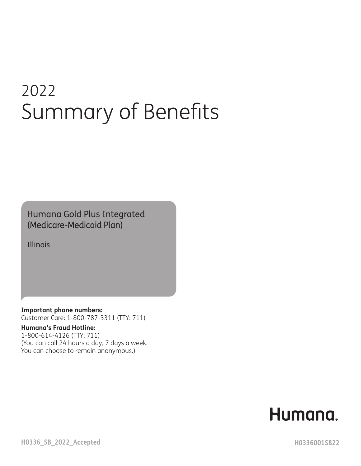# 2022 Summary of Benefits

Humana Gold Plus Integrated (Medicare-Medicaid Plan)

Illinois

**Important phone numbers:** Customer Care: 1-800-787-3311 (TTY: 711)

#### **Humana's Fraud Hotline:**

1-800-614-4126 (TTY: 711) (You can call 24 hours a day, 7 days a week. You can choose to remain anonymous.)

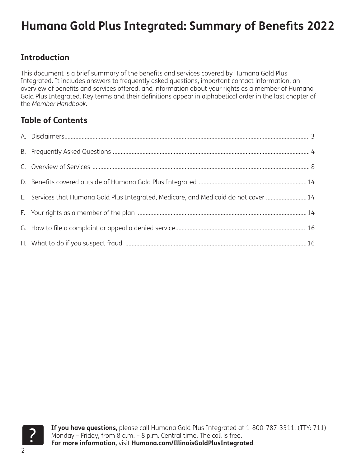#### **Introduction**

This document is a brief summary of the benefits and services covered by Humana Gold Plus Integrated. It includes answers to frequently asked questions, important contact information, an overview of benefits and services offered, and information about your rights as a member of Humana Gold Plus Integrated. Key terms and their definitions appear in alphabetical order in the last chapter of the *Member Handbook*.

#### **Table of Contents**

| E. Services that Humana Gold Plus Integrated, Medicare, and Medicaid do not cover  14 |  |
|---------------------------------------------------------------------------------------|--|
|                                                                                       |  |
|                                                                                       |  |
|                                                                                       |  |

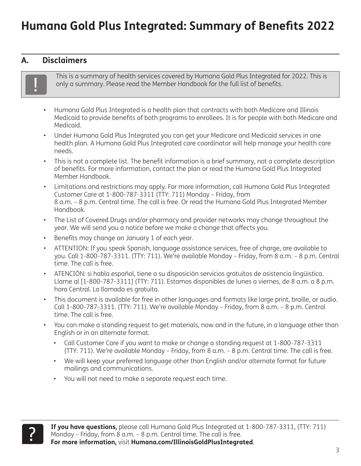#### <span id="page-2-0"></span>**A. Disclaimers**



! This is a summary of health services covered by Humana Gold Plus Integrated for 2022. This is only a summary. Please read the Member Handbook for the full list of benefits.

- Humana Gold Plus Integrated is a health plan that contracts with both Medicare and Illinois Medicaid to provide benefits of both programs to enrollees. It is for people with both Medicare and Medicaid.
- Under Humana Gold Plus Integrated you can get your Medicare and Medicaid services in one health plan. A Humana Gold Plus Integrated care coordinator will help manage your health care needs.
- This is not a complete list. The benefit information is a brief summary, not a complete description of benefits. For more information, contact the plan or read the Humana Gold Plus Integrated Member Handbook.
- Limitations and restrictions may apply. For more information, call Humana Gold Plus Integrated Customer Care at 1-800-787-3311 (TTY: 711) Monday – Friday, from 8 a.m. – 8 p.m. Central time. The call is free. Or read the Humana Gold Plus Integrated Member Handbook.
- The List of Covered Drugs and/or pharmacy and provider networks may change throughout the year. We will send you a notice before we make a change that affects you.
- Benefits may change on January 1 of each year.
- ATTENTION: If you speak Spanish, language assistance services, free of charge, are available to you. Call 1-800-787-3311. (TTY: 711). We're available Monday – Friday, from 8 a.m. – 8 p.m. Central time. The call is free.
- ATENCIÓN: si habla español, tiene a su disposición servicios gratuitos de asistencia lingüística. Llame al [1-800-787-3311] (TTY: 711). Estamos disponibles de lunes a viernes, de 8 a.m. a 8 p.m. hora Central. La llamada es gratuita.
- This document is available for free in other languages and formats like large print, braille, or audio. Call 1-800-787-3311. (TTY: 711). We're available Monday – Friday, from 8 a.m. – 8 p.m. Central time. The call is free.
- You can make a standing request to get materials, now and in the future, in a language other than English or in an alternate format.
	- Call Customer Care if you want to make or change a standing request at 1-800-787-3311 (TTY: 711). We're available Monday – Friday, from 8 a.m. – 8 p.m. Central time. The call is free.
	- We will keep your preferred language other than English and/or alternate format for future mailings and communications.
	- You will not need to make a separate request each time.

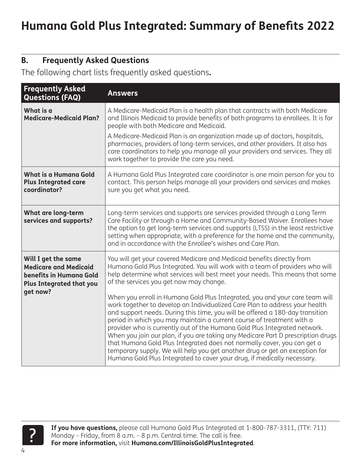#### <span id="page-3-0"></span>**B. Frequently Asked Questions**

The following chart lists frequently asked questions**.**

| <b>Frequently Asked</b><br><b>Questions (FAQ)</b>                                                                 | <b>Answers</b>                                                                                                                                                                                                                                                                                                                                                                                                                                                                                                                                                                                                                                                                                                             |
|-------------------------------------------------------------------------------------------------------------------|----------------------------------------------------------------------------------------------------------------------------------------------------------------------------------------------------------------------------------------------------------------------------------------------------------------------------------------------------------------------------------------------------------------------------------------------------------------------------------------------------------------------------------------------------------------------------------------------------------------------------------------------------------------------------------------------------------------------------|
| What is a<br><b>Medicare-Medicaid Plan?</b>                                                                       | A Medicare-Medicaid Plan is a health plan that contracts with both Medicare<br>and Illinois Medicaid to provide benefits of both programs to enrollees. It is for<br>people with both Medicare and Medicaid.<br>A Medicare-Medicaid Plan is an organization made up of doctors, hospitals,                                                                                                                                                                                                                                                                                                                                                                                                                                 |
|                                                                                                                   | pharmacies, providers of long-term services, and other providers. It also has<br>care coordinators to help you manage all your providers and services. They all<br>work together to provide the care you need.                                                                                                                                                                                                                                                                                                                                                                                                                                                                                                             |
| What is a Humana Gold<br><b>Plus Integrated care</b><br>coordinator?                                              | A Humana Gold Plus Integrated care coordinator is one main person for you to<br>contact. This person helps manage all your providers and services and makes<br>sure you get what you need.                                                                                                                                                                                                                                                                                                                                                                                                                                                                                                                                 |
| What are long-term<br>services and supports?                                                                      | Long-term services and supports are services provided through a Long Term<br>Care Facility or through a Home and Community-Based Waiver. Enrollees have<br>the option to get long-term services and supports (LTSS) in the least restrictive<br>setting when appropriate, with a preference for the home and the community,<br>and in accordance with the Enrollee's wishes and Care Plan.                                                                                                                                                                                                                                                                                                                                 |
| Will I get the same<br><b>Medicare and Medicaid</b><br>benefits in Humana Gold<br><b>Plus Integrated that you</b> | You will get your covered Medicare and Medicaid benefits directly from<br>Humana Gold Plus Integrated. You will work with a team of providers who will<br>help determine what services will best meet your needs. This means that some<br>of the services you get now may change.                                                                                                                                                                                                                                                                                                                                                                                                                                          |
| get now?                                                                                                          | When you enroll in Humana Gold Plus Integrated, you and your care team will<br>work together to develop an Individualized Care Plan to address your health<br>and support needs. During this time, you will be offered a 180-day transition<br>period in which you may maintain a current course of treatment with a<br>provider who is currently out of the Humana Gold Plus Integrated network.<br>When you join our plan, if you are taking any Medicare Part D prescription drugs<br>that Humana Gold Plus Integrated does not normally cover, you can get a<br>temporary supply. We will help you get another drug or get an exception for<br>Humana Gold Plus Integrated to cover your drug, if medically necessary. |

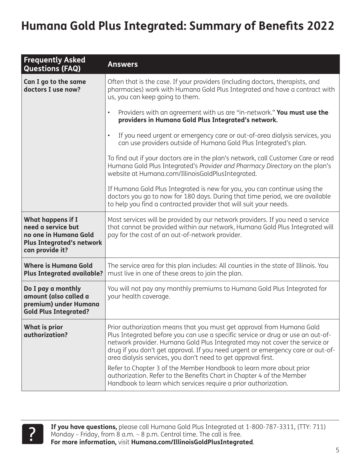| <b>Frequently Asked</b><br><b>Questions (FAQ)</b>                                                                       | <b>Answers</b>                                                                                                                                                                                                                                                                                                                                                                                                                                                                                                                                                                                                |  |
|-------------------------------------------------------------------------------------------------------------------------|---------------------------------------------------------------------------------------------------------------------------------------------------------------------------------------------------------------------------------------------------------------------------------------------------------------------------------------------------------------------------------------------------------------------------------------------------------------------------------------------------------------------------------------------------------------------------------------------------------------|--|
| Can I go to the same<br>doctors I use now?                                                                              | Often that is the case. If your providers (including doctors, therapists, and<br>pharmacies) work with Humana Gold Plus Integrated and have a contract with<br>us, you can keep going to them.                                                                                                                                                                                                                                                                                                                                                                                                                |  |
|                                                                                                                         | Providers with an agreement with us are "in-network." You must use the<br>$\bullet$<br>providers in Humana Gold Plus Integrated's network.                                                                                                                                                                                                                                                                                                                                                                                                                                                                    |  |
|                                                                                                                         | If you need urgent or emergency care or out-of-area dialysis services, you<br>$\bullet$<br>can use providers outside of Humana Gold Plus Integrated's plan.                                                                                                                                                                                                                                                                                                                                                                                                                                                   |  |
|                                                                                                                         | To find out if your doctors are in the plan's network, call Customer Care or read<br>Humana Gold Plus Integrated's Provider and Pharmacy Directory on the plan's<br>website at Humana.com/IllinoisGoldPlusIntegrated.                                                                                                                                                                                                                                                                                                                                                                                         |  |
|                                                                                                                         | If Humana Gold Plus Integrated is new for you, you can continue using the<br>doctors you go to now for 180 days. During that time period, we are available<br>to help you find a contracted provider that will suit your needs.                                                                                                                                                                                                                                                                                                                                                                               |  |
| What happens if I<br>need a service but<br>no one in Humana Gold<br><b>Plus Integrated's network</b><br>can provide it? | Most services will be provided by our network providers. If you need a service<br>that cannot be provided within our network, Humana Gold Plus Integrated will<br>pay for the cost of an out-of-network provider.                                                                                                                                                                                                                                                                                                                                                                                             |  |
| <b>Where is Humana Gold</b><br><b>Plus Integrated available?</b>                                                        | The service area for this plan includes: All counties in the state of Illinois. You<br>must live in one of these areas to join the plan.                                                                                                                                                                                                                                                                                                                                                                                                                                                                      |  |
| Do I pay a monthly<br>amount (also called a<br>premium) under Humana<br><b>Gold Plus Integrated?</b>                    | You will not pay any monthly premiums to Humana Gold Plus Integrated for<br>your health coverage.                                                                                                                                                                                                                                                                                                                                                                                                                                                                                                             |  |
| <b>What is prior</b><br>authorization?                                                                                  | Prior authorization means that you must get approval from Humana Gold<br>Plus Integrated before you can use a specific service or drug or use an out-of-<br>network provider. Humana Gold Plus Integrated may not cover the service or<br>drug if you don't get approval. If you need urgent or emergency care or out-of-<br>area dialysis services, you don't need to get approval first.<br>Refer to Chapter 3 of the Member Handbook to learn more about prior<br>authorization. Refer to the Benefits Chart in Chapter 4 of the Member<br>Handbook to learn which services require a prior authorization. |  |

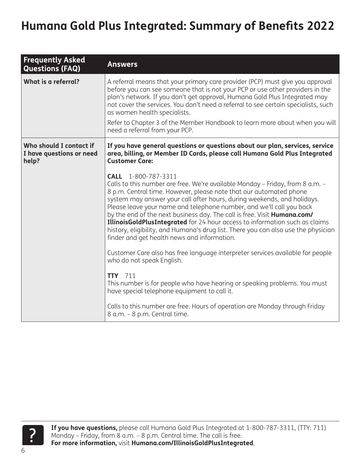| <b>Frequently Asked</b><br><b>Questions (FAQ)</b>            | <b>Answers</b>                                                                                                                                                                                                                                                                                                                                                                                                                                                                                                                                                                                                                                                                                                                                                        |
|--------------------------------------------------------------|-----------------------------------------------------------------------------------------------------------------------------------------------------------------------------------------------------------------------------------------------------------------------------------------------------------------------------------------------------------------------------------------------------------------------------------------------------------------------------------------------------------------------------------------------------------------------------------------------------------------------------------------------------------------------------------------------------------------------------------------------------------------------|
| What is a referral?                                          | A referral means that your primary care provider (PCP) must give you approval<br>before you can see someone that is not your PCP or use other providers in the<br>plan's network. If you don't get approval, Humana Gold Plus Integrated may<br>not cover the services. You don't need a referral to see certain specialists, such<br>as women health specialists.<br>Refer to Chapter 3 of the Member Handbook to learn more about when you will<br>need a referral from your PCP.                                                                                                                                                                                                                                                                                   |
| Who should I contact if<br>I have questions or need<br>help? | If you have general questions or questions about our plan, services, service<br>area, billing, or Member ID Cards, please call Humana Gold Plus Integrated<br><b>Customer Care:</b>                                                                                                                                                                                                                                                                                                                                                                                                                                                                                                                                                                                   |
|                                                              | CALL 1-800-787-3311<br>Calls to this number are free. We're available Monday - Friday, from 8 a.m. -<br>8 p.m. Central time. However, please note that our automated phone<br>system may answer your call after hours, during weekends, and holidays.<br>Please leave your name and telephone number, and we'll call you back<br>by the end of the next business day. The call is free. Visit Humana.com/<br><b>IllinoisGoldPlusIntegrated</b> for 24 hour access to information such as claims<br>history, eligibility, and Humana's drug list. There you can also use the physician<br>finder and get health news and information.<br>Customer Care also has free language interpreter services available for people<br>who do not speak English.<br><b>TTY</b> 711 |
|                                                              | This number is for people who have hearing or speaking problems. You must<br>have special telephone equipment to call it.                                                                                                                                                                                                                                                                                                                                                                                                                                                                                                                                                                                                                                             |
|                                                              | Calls to this number are free. Hours of operation are Monday through Friday<br>8 a.m. - 8 p.m. Central time.                                                                                                                                                                                                                                                                                                                                                                                                                                                                                                                                                                                                                                                          |

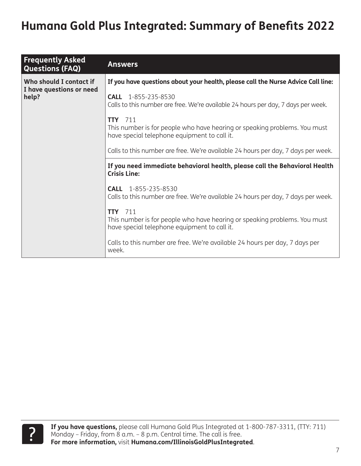| <b>Frequently Asked</b><br><b>Questions (FAQ)</b> | <b>Answers</b>                                                                                                                              |
|---------------------------------------------------|---------------------------------------------------------------------------------------------------------------------------------------------|
| Who should I contact if                           | If you have questions about your health, please call the Nurse Advice Call line:                                                            |
| I have questions or need<br>help?                 | <b>CALL</b> 1-855-235-8530<br>Calls to this number are free. We're available 24 hours per day, 7 days per week.                             |
|                                                   | <b>TTY</b> 711<br>This number is for people who have hearing or speaking problems. You must<br>have special telephone equipment to call it. |
|                                                   | Calls to this number are free. We're available 24 hours per day, 7 days per week.                                                           |
|                                                   | If you need immediate behavioral health, please call the Behavioral Health<br><b>Crisis Line:</b>                                           |
|                                                   | <b>CALL</b> 1-855-235-8530<br>Calls to this number are free. We're available 24 hours per day, 7 days per week.                             |
|                                                   | <b>TTY</b> 711<br>This number is for people who have hearing or speaking problems. You must<br>have special telephone equipment to call it. |
|                                                   | Calls to this number are free. We're available 24 hours per day, 7 days per<br>week.                                                        |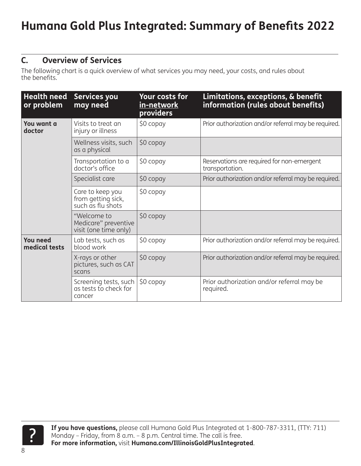#### <span id="page-7-0"></span>**C. Overview of Services**

The following chart is a quick overview of what services you may need, your costs, and rules about the benefits.

| <b>Health need</b><br>or problem | Services you<br>may need                                     | <b>Your costs for</b><br><u>in-network</u><br>providers | Limitations, exceptions, & benefit<br>information (rules about benefits) |
|----------------------------------|--------------------------------------------------------------|---------------------------------------------------------|--------------------------------------------------------------------------|
| You want a<br>doctor             | Visits to treat an<br>injury or illness                      | \$0 copay                                               | Prior authorization and/or referral may be required.                     |
|                                  | Wellness visits, such<br>as a physical                       | \$0 copay                                               |                                                                          |
|                                  | Transportation to a<br>doctor's office                       | \$0 copay                                               | Reservations are required for non-emergent<br>transportation.            |
|                                  | Specialist care                                              | \$0 copay                                               | Prior authorization and/or referral may be required.                     |
|                                  | Care to keep you<br>from getting sick,<br>such as flu shots  | \$0 copay                                               |                                                                          |
|                                  | "Welcome to<br>Medicare" preventive<br>visit (one time only) | \$0 copay                                               |                                                                          |
| <b>You need</b><br>medical tests | Lab tests, such as<br>blood work                             | \$0 copay                                               | Prior authorization and/or referral may be required.                     |
|                                  | X-rays or other<br>pictures, such as CAT<br>scans            | \$0 copay                                               | Prior authorization and/or referral may be required.                     |
|                                  | Screening tests, such<br>as tests to check for<br>cancer     | \$0 copay                                               | Prior authorization and/or referral may be<br>required.                  |

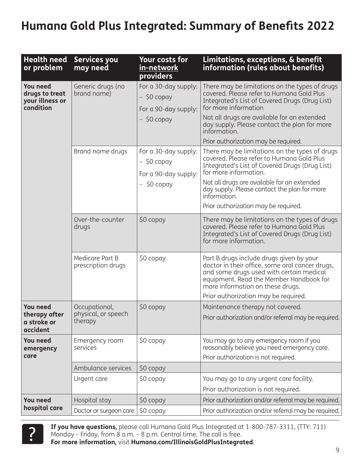| <b>Health need</b><br>or problem                                  | <b>Services you</b><br>may need                 | <b>Your costs for</b><br>in-network<br>providers                               | Limitations, exceptions, & benefit<br>information (rules about benefits)                                                                                                                                                                                                                                                      |
|-------------------------------------------------------------------|-------------------------------------------------|--------------------------------------------------------------------------------|-------------------------------------------------------------------------------------------------------------------------------------------------------------------------------------------------------------------------------------------------------------------------------------------------------------------------------|
| <b>You need</b><br>drugs to treat<br>your illness or<br>condition | Generic drugs (no<br>brand name)                | For a 30-day supply:<br>$-$ \$0 copay<br>For a 90-day supply:<br>$-$ \$0 copay | There may be limitations on the types of drugs<br>covered. Please refer to Humana Gold Plus<br>Integrated's List of Covered Drugs (Drug List)<br>for more information<br>Not all drugs are available for an extended<br>day supply. Please contact the plan for more<br>information.<br>Prior authorization may be required.  |
|                                                                   | Brand name drugs                                | For a 30-day supply:<br>$-$ \$0 copay<br>For a 90-day supply:<br>$-50$ copay   | There may be limitations on the types of drugs<br>covered. Please refer to Humana Gold Plus<br>Integrated's List of Covered Drugs (Drug List)<br>for more information.<br>Not all drugs are available for an extended<br>day supply. Please contact the plan for more<br>information.<br>Prior authorization may be required. |
|                                                                   | Over-the-counter<br>drugs                       | \$0 copay                                                                      | There may be limitations on the types of drugs<br>covered. Please refer to Humana Gold Plus<br>Integrated's List of Covered Drugs (Drug List)<br>for more information.                                                                                                                                                        |
|                                                                   | Medicare Part B<br>prescription drugs           | \$0 copay                                                                      | Part B drugs include drugs given by your<br>doctor in their office, some oral cancer drugs,<br>and some drugs used with certain medical<br>equipment. Read the Member Handbook for<br>more information on these drugs.<br>Prior authorization may be required.                                                                |
| <b>You need</b><br>therapy after<br>a stroke or<br>accident       | Occupational,<br>physical, or speech<br>therapy | \$0 copay                                                                      | Maintenance therapy not covered.<br>Prior authorization and/or referral may be required.                                                                                                                                                                                                                                      |
| <b>You need</b><br>emergency<br>care                              | Emergency room<br>services                      | \$0 copay                                                                      | You may go to any emergency room if you<br>reasonably believe you need emergency care.<br>Prior authorization is not required.                                                                                                                                                                                                |
|                                                                   | Ambulance services                              | \$0 copay                                                                      |                                                                                                                                                                                                                                                                                                                               |
|                                                                   | Urgent care                                     | \$0 copay                                                                      | You may go to any urgent care facility.<br>Prior authorization is not required.                                                                                                                                                                                                                                               |
| <b>You need</b>                                                   | Hospital stay                                   | \$0 copay                                                                      | Prior authorization and/or referral may be required.                                                                                                                                                                                                                                                                          |
| hospital care                                                     | Doctor or surgeon care                          | \$0 copay                                                                      | Prior authorization and/or referral may be required.                                                                                                                                                                                                                                                                          |



**If you have questions,** please call Humana Gold Plus Integrated at 1-800-787-3311, (TTY: 711) Monday – Friday, from 8 a.m. – 8 p.m. Central time. The call is free.<br>**For more information,** visit **Humana.com/IllinoisGoldPlusIntegrated**.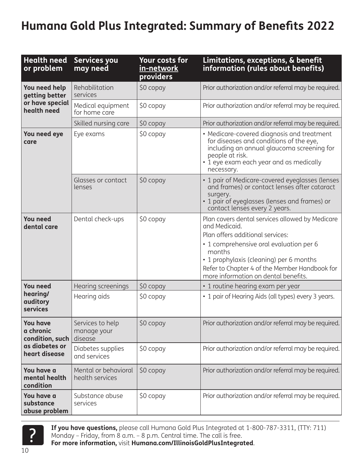| <b>Health need</b><br>or problem                | <b>Services you</b><br>may need            | <b>Your costs for</b><br>in-network<br>providers | Limitations, exceptions, & benefit<br>information (rules about benefits)                                                                                                                                                                                                                      |
|-------------------------------------------------|--------------------------------------------|--------------------------------------------------|-----------------------------------------------------------------------------------------------------------------------------------------------------------------------------------------------------------------------------------------------------------------------------------------------|
| You need help<br>getting better                 | Rehabilitation<br>services                 | \$0 copay                                        | Prior authorization and/or referral may be required.                                                                                                                                                                                                                                          |
| or have special<br>health need                  | Medical equipment<br>for home care         | \$0 copay                                        | Prior authorization and/or referral may be required.                                                                                                                                                                                                                                          |
|                                                 | Skilled nursing care                       | \$0 copay                                        | Prior authorization and/or referral may be required.                                                                                                                                                                                                                                          |
| You need eye<br>care                            | Eye exams                                  | \$0 copay                                        | • Medicare-covered diagnosis and treatment<br>for diseases and conditions of the eye,<br>including an annual glaucoma screening for<br>people at risk.<br>• 1 eye exam each year and as medically<br>necessary.                                                                               |
|                                                 | Glasses or contact<br>lenses               | \$0 copay                                        | • 1 pair of Medicare-covered eyeglasses (lenses<br>and frames) or contact lenses after cataract<br>surgery.<br>• 1 pair of eyeglasses (lenses and frames) or<br>contact lenses every 2 years.                                                                                                 |
| <b>You need</b><br>dental care                  | Dental check-ups                           | \$0 copay                                        | Plan covers dental services allowed by Medicare<br>and Medicaid.<br>Plan offers additional services:<br>• 1 comprehensive oral evaluation per 6<br>months<br>• 1 prophylaxis (cleaning) per 6 months<br>Refer to Chapter 4 of the Member Handbook for<br>more information on dental benefits. |
| <b>You need</b>                                 | Hearing screenings                         | \$0 copay                                        | • 1 routine hearing exam per year                                                                                                                                                                                                                                                             |
| hearing/<br>auditory<br>services                | Hearing aids                               | \$0 copay                                        | • 1 pair of Hearing Aids (all types) every 3 years.                                                                                                                                                                                                                                           |
| <b>You have</b><br>a chronic<br>condition, such | Services to help<br>manage your<br>disease | \$0 copay                                        | Prior authorization and/or referral may be required.                                                                                                                                                                                                                                          |
| as diabetes or<br>heart disease                 | Diabetes supplies<br>and services          | \$0 copay                                        | Prior authorization and/or referral may be required.                                                                                                                                                                                                                                          |
| You have a<br>mental health<br>condition        | Mental or behavioral<br>health services    | \$0 copay                                        | Prior authorization and/or referral may be required.                                                                                                                                                                                                                                          |
| You have a<br>substance<br>abuse problem        | Substance abuse<br>services                | \$0 copay                                        | Prior authorization and/or referral may be required.                                                                                                                                                                                                                                          |



**15 you have questions,** please call Humana Gold Plus Integrated at 1-800-787-3311, (TTY: 711)<br>Monday – Friday, from 8 a.m. – 8 p.m. Central time. The call is free.<br>**For more information,** visit **Humana.com/IllinoisGoldPlu**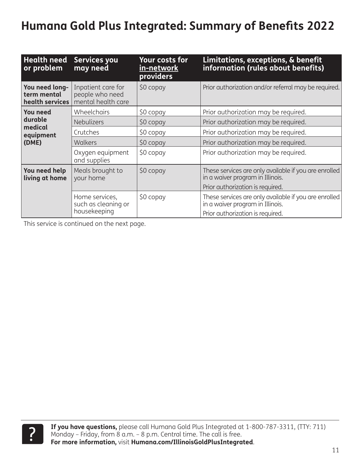| <b>Health need</b><br>or problem                 | Services you<br>may need                                    | <b>Your costs for</b><br>in-network<br><b>providers</b> | Limitations, exceptions, & benefit<br>information (rules about benefits)                  |
|--------------------------------------------------|-------------------------------------------------------------|---------------------------------------------------------|-------------------------------------------------------------------------------------------|
| You need long-<br>term mental<br>health services | Inpatient care for<br>people who need<br>mental health care | \$0 copay                                               | Prior authorization and/or referral may be required.                                      |
| <b>You need</b>                                  | Wheelchairs                                                 | \$0 copay                                               | Prior authorization may be required.                                                      |
| durable                                          | <b>Nebulizers</b>                                           | \$0 copay                                               | Prior authorization may be required.                                                      |
| medical<br>equipment                             | Crutches                                                    | \$0 copay                                               | Prior authorization may be required.                                                      |
| (DME)                                            | <b>Walkers</b>                                              | $$0$ copay                                              | Prior authorization may be required.                                                      |
|                                                  | Oxygen equipment<br>and supplies                            | \$0 copay                                               | Prior authorization may be required.                                                      |
| You need help<br>living at home                  | Meals brought to<br>your home                               | \$0 copay                                               | These services are only available if you are enrolled<br>in a waiver program in Illinois. |
|                                                  |                                                             |                                                         | Prior authorization is required.                                                          |
|                                                  | Home services,<br>such as cleaning or                       | \$0 copay                                               | These services are only available if you are enrolled<br>in a waiver program in Illinois. |
|                                                  | housekeeping                                                |                                                         | Prior authorization is required.                                                          |

This service is continued on the next page.

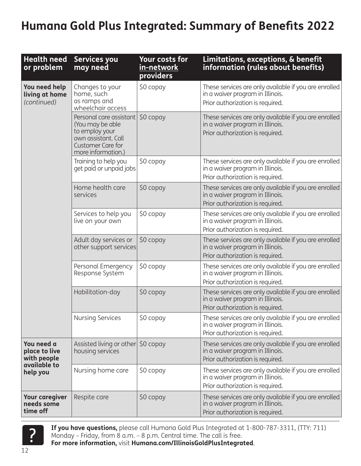| <b>Health need</b><br>or problem                           | Services you<br>may need                                                                                                        | <b>Your costs for</b><br><u>in-network</u><br>providers | Limitations, exceptions, & benefit<br>information (rules about benefits)                                                      |
|------------------------------------------------------------|---------------------------------------------------------------------------------------------------------------------------------|---------------------------------------------------------|-------------------------------------------------------------------------------------------------------------------------------|
| You need help<br>living at home<br>(continued)             | Changes to your<br>home, such<br>as ramps and<br>wheelchair access                                                              | \$0 copay                                               | These services are only available if you are enrolled<br>in a waiver program in Illinois.<br>Prior authorization is required. |
|                                                            | Personal care assistant<br>(You may be able<br>to employ your<br>own assistant. Call<br>Customer Care for<br>more information.) | \$0 copay                                               | These services are only available if you are enrolled<br>in a waiver program in Illinois.<br>Prior authorization is required. |
|                                                            | Training to help you<br>get paid or unpaid jobs                                                                                 | \$0 copay                                               | These services are only available if you are enrolled<br>in a waiver program in Illinois.<br>Prior authorization is required. |
|                                                            | Home health care<br>services                                                                                                    | \$0 copay                                               | These services are only available if you are enrolled<br>in a waiver program in Illinois.<br>Prior authorization is required. |
|                                                            | Services to help you<br>live on your own                                                                                        | \$0 copay                                               | These services are only available if you are enrolled<br>in a waiver program in Illinois.<br>Prior authorization is required. |
|                                                            | Adult day services or<br>other support services                                                                                 | \$0 copay                                               | These services are only available if you are enrolled<br>in a waiver program in Illinois.<br>Prior authorization is required. |
|                                                            | Personal Emergency<br>Response System                                                                                           | \$0 copay                                               | These services are only available if you are enrolled<br>in a waiver program in Illinois.<br>Prior authorization is required. |
|                                                            | Habilitation-day                                                                                                                | \$0 copay                                               | These services are only available if you are enrolled<br>in a waiver program in Illinois.<br>Prior authorization is required. |
|                                                            | <b>Nursing Services</b>                                                                                                         | \$0 copay                                               | These services are only available if you are enrolled<br>in a waiver program in Illinois.<br>Prior authorization is required. |
| You need a<br>place to live<br>with people<br>available to | Assisted living or other<br>housing services                                                                                    | \$0 copay                                               | These services are only available if you are enrolled<br>in a waiver program in Illinois.<br>Prior authorization is required. |
| help you                                                   | Nursing home care                                                                                                               | \$0 copay                                               | These services are only available if you are enrolled<br>in a waiver program in Illinois.<br>Prior authorization is required. |
| <b>Your caregiver</b><br>needs some<br>time off            | Respite care                                                                                                                    | \$0 copay                                               | These services are only available if you are enrolled<br>in a waiver program in Illinois.<br>Prior authorization is required. |



**15 you have questions,** please call Humana Gold Plus Integrated at 1-800-787-3311, (TTY: 711)<br>Monday – Friday, from 8 a.m. – 8 p.m. Central time. The call is free.<br>**For more information,** visit **Humana.com/IllinoisGoldPlu**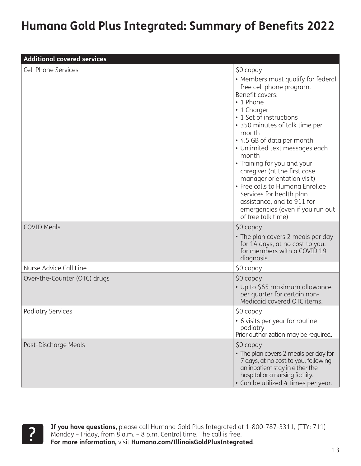| <b>Additional covered services</b> |                                                                                                                                                                                                                                                                                                                                                                                                                                                                                                                               |
|------------------------------------|-------------------------------------------------------------------------------------------------------------------------------------------------------------------------------------------------------------------------------------------------------------------------------------------------------------------------------------------------------------------------------------------------------------------------------------------------------------------------------------------------------------------------------|
| <b>Cell Phone Services</b>         | \$0 copay<br>• Members must qualify for federal<br>free cell phone program.<br>Benefit covers:<br>• 1 Phone<br>• 1 Charger<br>• 1 Set of instructions<br>• 350 minutes of talk time per<br>month<br>• 4.5 GB of data per month<br>• Unlimited text messages each<br>month<br>• Training for you and your<br>caregiver (at the first case<br>manager orientation visit)<br>• Free calls to Humana Enrollee<br>Services for health plan<br>assistance, and to 911 for<br>emergencies (even if you run out<br>of free talk time) |
| <b>COVID Meals</b>                 | \$0 copay<br>• The plan covers 2 meals per day<br>for 14 days, at no cost to you,<br>for members with a COVID 19<br>diagnosis.                                                                                                                                                                                                                                                                                                                                                                                                |
| Nurse Advice Call Line             | \$0 copay                                                                                                                                                                                                                                                                                                                                                                                                                                                                                                                     |
| Over-the-Counter (OTC) drugs       | \$0 copay<br>• Up to \$65 maximum allowance<br>per quarter for certain non-<br>Medicaid covered OTC items.                                                                                                                                                                                                                                                                                                                                                                                                                    |
| <b>Podiatry Services</b>           | \$0 copay<br>• 6 visits per year for routine<br>podiatry<br>Prior authorization may be required.                                                                                                                                                                                                                                                                                                                                                                                                                              |
| Post-Discharge Meals               | \$0 copay<br>• The plan covers 2 meals per day for<br>7 days, at no cost to you, following<br>an inpatient stay in either the<br>hospital or a nursing facility.<br>• Can be utilized 4 times per year.                                                                                                                                                                                                                                                                                                                       |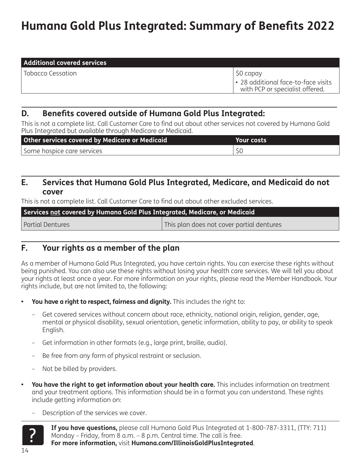| <b>Additional covered services</b> |                                                                          |
|------------------------------------|--------------------------------------------------------------------------|
| Tobacco Cessation                  | \$0 copay                                                                |
|                                    | 1 . 28 additional face-to-face visits<br>with PCP or specialist offered. |

#### <span id="page-13-0"></span>**D. Benefits covered outside of Humana Gold Plus Integrated:**

This is not a complete list. Call Customer Care to find out about other services not covered by Humana Gold Plus Integrated but available through Medicare or Medicaid.

| Other services covered by Medicare or Medicaid | Your costs |
|------------------------------------------------|------------|
| Some hospice care services                     |            |

#### <span id="page-13-1"></span>**E. Services that Humana Gold Plus Integrated, Medicare, and Medicaid do not cover**

This is not a complete list. Call Customer Care to find out about other excluded services.

| Services not covered by Humana Gold Plus Integrated, Medicare, or Medicaid |                                           |  |
|----------------------------------------------------------------------------|-------------------------------------------|--|
| Partial Dentures                                                           | This plan does not cover partial dentures |  |

#### **F. Your rights as a member of the plan**

As a member of Humana Gold Plus Integrated, you have certain rights. You can exercise these rights without being punished. You can also use these rights without losing your health care services. We will tell you about your rights at least once a year. For more information on your rights, please read the Member Handbook. Your rights include, but are not limited to, the following:

- **• You have a right to respect, fairness and dignity.** This includes the right to:
	- Get covered services without concern about race, ethnicity, national origin, religion, gender, age, mental or physical disability, sexual orientation, genetic information, ability to pay, or ability to speak English.
	- Get information in other formats (e.g., large print, braille, audio).
	- Be free from any form of physical restraint or seclusion.
	- Not be billed by providers.
- **• You have the right to get information about your health care.** This includes information on treatment and your treatment options. This information should be in a format you can understand. These rights include getting information on:
	- Description of the services we cover.



14

**If you have questions,** please call Humana Gold Plus Integrated at 1-800-787-3311, (TTY: 711) Monday – Friday, from 8 a.m. – 8 p.m. Central time. The call is free.<br>**For more information,** visit **Humana.com/IllinoisGoldPlusIntegrated**.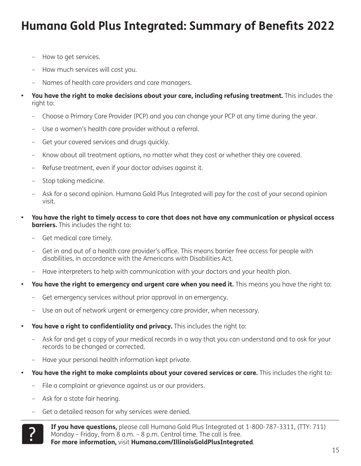- How to get services.
- How much services will cost you.
- Names of health care providers and care managers.
- **• You have the right to make decisions about your care, including refusing treatment.** This includes the right to:
	- Choose a Primary Care Provider (PCP) and you can change your PCP at any time during the year.
	- Use a women's health care provider without a referral.
	- Get your covered services and drugs quickly.
	- Know about all treatment options, no matter what they cost or whether they are covered.
	- Refuse treatment, even if your doctor advises against it.
	- Stop taking medicine.
	- Ask for a second opinion. Humana Gold Plus Integrated will pay for the cost of your second opinion visit.
- **• You have the right to timely access to care that does not have any communication or physical access barriers.** This includes the right to:
	- Get medical care timely.
	- Get in and out of a health care provider's office. This means barrier free access for people with disabilities, in accordance with the Americans with Disabilities Act.
	- Have interpreters to help with communication with your doctors and your health plan.
- You have the right to emergency and urgent care when you need it. This means you have the right to:
	- Get emergency services without prior approval in an emergency.
	- Use an out of network urgent or emergency care provider, when necessary.
- **• You have a right to confidentiality and privacy.** This includes the right to:
	- Ask for and get a copy of your medical records in a way that you can understand and to ask for your records to be changed or corrected.
	- Have your personal health information kept private.
- **• You have the right to make complaints about your covered services or care.** This includes the right to:
	- File a complaint or grievance against us or our providers.
	- Ask for a state fair hearing.
	- Get a detailed reason for why services were denied.



**If you have questions,** please call Humana Gold Plus Integrated at 1-800-787-3311, (TTY: 711) Monday – Friday, from 8 a.m. – 8 p.m. Central time. The call is free.<br>**For more information,** visit **Humana.com/IllinoisGoldPlusIntegrated**.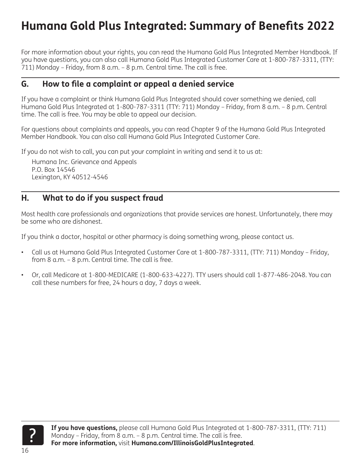For more information about your rights, you can read the Humana Gold Plus Integrated Member Handbook. If you have questions, you can also call Humana Gold Plus Integrated Customer Care at 1-800-787-3311, (TTY: 711) Monday – Friday, from 8 a.m. – 8 p.m. Central time. The call is free.

#### **G. How to file a complaint or appeal a denied service**

If you have a complaint or think Humana Gold Plus Integrated should cover something we denied, call Humana Gold Plus Integrated at 1-800-787-3311 (TTY: 711) Monday – Friday, from 8 a.m. – 8 p.m. Central time. The call is free. You may be able to appeal our decision.

For questions about complaints and appeals, you can read Chapter 9 of the Humana Gold Plus Integrated Member Handbook. You can also call Humana Gold Plus Integrated Customer Care.

If you do not wish to call, you can put your complaint in writing and send it to us at:

Humana Inc. Grievance and Appeals P.O. Box 14546 Lexington, KY 40512-4546

#### **H. What to do if you suspect fraud**

Most health care professionals and organizations that provide services are honest. Unfortunately, there may be some who are dishonest.

If you think a doctor, hospital or other pharmacy is doing something wrong, please contact us.

- Call us at Humana Gold Plus Integrated Customer Care at 1-800-787-3311, (TTY: 711) Monday Friday, from 8 a.m. – 8 p.m. Central time. The call is free.
- Or, call Medicare at 1-800-MEDICARE (1-800-633-4227). TTY users should call 1-877-486-2048. You can call these numbers for free, 24 hours a day, 7 days a week.

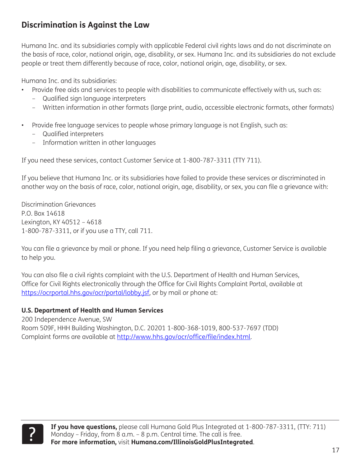#### **Discrimination is Against the Law**

Humana Inc. and its subsidiaries comply with applicable Federal civil rights laws and do not discriminate on the basis of race, color, national origin, age, disability, or sex. Humana Inc. and its subsidiaries do not exclude people or treat them differently because of race, color, national origin, age, disability, or sex.

Humana Inc. and its subsidiaries:

- Provide free aids and services to people with disabilities to communicate effectively with us, such as:
	- Qualified sign language interpreters
	- Written information in other formats (large print, audio, accessible electronic formats, other formats)
- Provide free language services to people whose primary language is not English, such as:
	- Qualified interpreters
	- Information written in other languages

If you need these services, contact Customer Service at 1-800-787-3311 (TTY 711).

If you believe that Humana Inc. or its subsidiaries have failed to provide these services or discriminated in another way on the basis of race, color, national origin, age, disability, or sex, you can file a grievance with:

Discrimination Grievances P.O. Box 14618 Lexington, KY 40512 – 4618 1-800-787-3311, or if you use a TTY, call 711.

You can file a grievance by mail or phone. If you need help filing a grievance, Customer Service is available to help you.

You can also file a civil rights complaint with the U.S. Department of Health and Human Services, Office for Civil Rights electronically through the Office for Civil Rights Complaint Portal, available at <https://ocrportal.hhs.gov/ocr/portal/lobby.jsf>, or by mail or phone at:

#### **U.S. Department of Health and Human Services**

200 Independence Avenue, SW Room 509F, HHH Building Washington, D.C. 20201 1-800-368-1019, 800-537-7697 (TDD) Complaint forms are available at [http://www.hhs.gov/ocr/office/file/index.html.](http://www.hhs.gov/ocr/office/file/index.html)

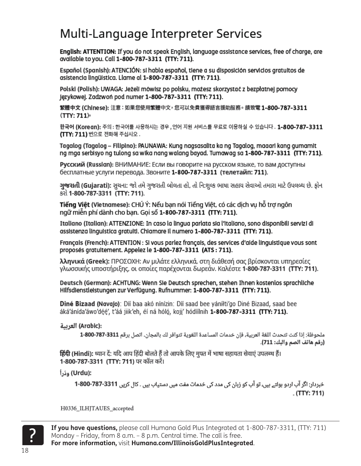### Multi-Language Interpreter Services

English: ATTENTION: If you do not speak English, language assistance services, free of charge, are available to you. Call 1-800-787-3311 (TTY: 711).

Español (Spanish): ATENCIÓN: si habla español, tiene a su disposición servicios gratuitos de asistencia lingüística. Llame al 1-800-787-3311 (TTY: 711).

Polski (Polish): UWAGA: Jeżeli mówisz po polsku, możesz skorzystać z bezpłatnej pomocy Językowej. Zadzwoń pod numer 1-800-787-3311 (TTY: 711).

繁體中文 (Chinese): 注意:如果您使用繁體中文,您可以免費獲得語言援助服務。 請致電 1-800-787-3311 (TTY: 711)

한국어 (Koregn): 주의 : 한국어를 사용하시는 경우 ,언어 지원 서비스를 무료로 이용하실 수 있습니다 . 1-800-787-3311 (TTY: 711) 번으로 전화해 주십시오.

Tagalog (Tagalog – Filipino): PAUNAWA: Kung nagsasalita ka ng Tagalog, maaari kang gumamit ng mga serbisyo ng tulong sa wika nang walang bayad. Tumawag sa 1-800-787-3311 (TTY: 711).

Русский (Russian): ВНИМАНИЕ: Если вы говорите на русском языке, то вам доступны бесплатные услуги перевода. Звоните 1-800-787-3311 (телетайп: 711).

**ગુજરાતી (Gujarati):** સુચના: જો તમે ગુજરાતી બોલતા હો, તો નિ:શુલ્ક ભાષા સહાય સેવાઓ તમારા માટે ઉપલબ્ધ છે. ફોન કરો 1-800-787-3311 (TTY: 711).

Tiếng Việt (Vietnamese): CHÚ Ý: Nếu ban nói Tiếng Việt, có các dịch vu hỗ trơ ngôn ngữ miễn phí dành cho bạn. Gọi số 1-800-787-3311 (TTY: 711).

Italiano (Italian): ATTENZIONE: In caso la lingua parlata sia l'Italiano, sono disponibili servizi di assistenza linguistica gratuiti. Chiamare il numero 1-800-787-3311 (TTY: 711).

Français (French): ATTENTION : SI vous parlez français, des services d'aide linguistique vous sont proposés gratuitement. Appelez le 1-800-787-3311 (ATS: 711).

λληνικά (Greek): ΠΡΟΣΟΧΗ: Αν μιλάτε ελληνικά, στη διάθεσή σας βρίσκονται υπηρεσίες γλωσσικής υποστήριξης, οι οποίες παρέχονται δωρεάν. Καλέστε 1-800-787-3311 (TTY: 711).

Deutsch (German): ACHTUNG: Wenn SIe Deutsch sprechen, stehen Ihnen kostenlos sprachliche Hilfsdienstleistungen zur Verfügung. Rufnummer: 1-800-787-3311 (TTY: 711).

Diné Bizaad (Navajo): Díí baa akó nínízin: Díí saad bee yáníłti'go Diné Bizaad, saad bee áká'ánída'áwo'déé', t'áá jiik'eh, éí ná hóló, koji' hódíílnih 1-800-787-3311 (TTY: 711).

:(Arabic) العربية

ملحوظة: إذا كنت تتحدث اللغة العربية، فإن خدمات المساعدة اللغوية تتوافر لك بالمجان. اتصل برقم 3311-787-800-1 (رقم هاتف الصم والبك: 711).

हिंदी (Hindi): ध्यान दें: यदि आप हिंदी बोलते हैं तो आपके लिए मुफ्त में भाषा सहायता सेवाएं उपलब्ध हैं। 1-800-787-3311 (TTY: 711) पर कॉल करें।

:(Urdu) ودُراً

خبردار: اگر آپ اردو ہولتے ہیں، تو آپ کو زبان کی مدد کی خدمات مفت میں دستیاب ہیں ۔ کال کریں 3311-787-800-1  $(TTY: 711)$ 

H0336\_ILHJTAUES\_accepted



If you have questions, please call Humana Gold Plus Integrated at 1-800-787-3311, (TTY: 711) Monday - Friday, from 8 a.m. - 8 p.m. Central time. The call is free.

For more information, visit Humana.com/IllinoisGoldPlusIntegrated.